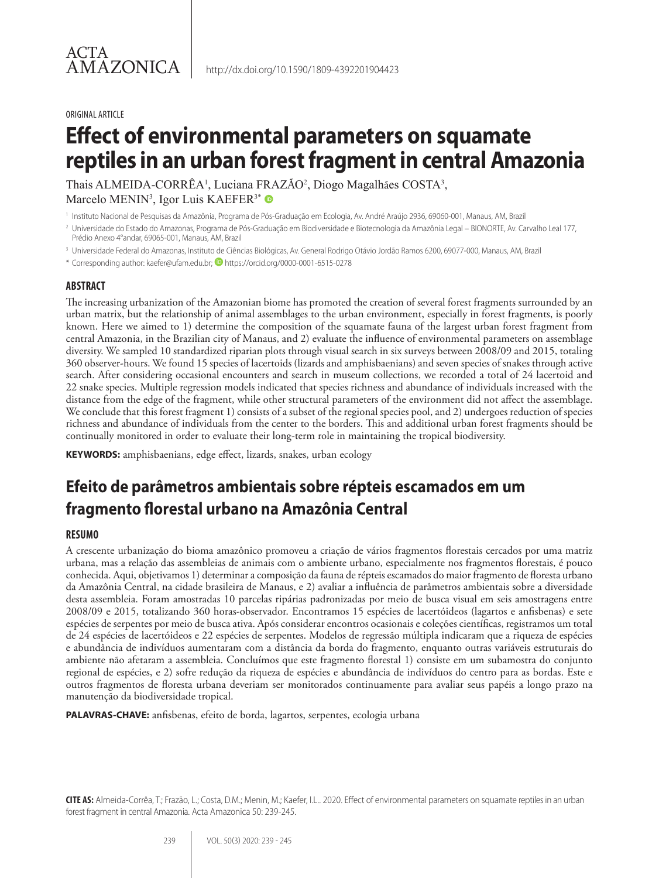#### ORIGINAL ARTICLE

# **Effect of environmental parameters on squamate reptiles in an urban forest fragment in central Amazonia**

Thais ALMEIDA-CORRÊA<sup>1</sup>, Luciana FRAZÃO<sup>2</sup>, Diogo Magalhães COSTA<sup>3</sup>, Marcelo MENIN<sup>3</sup>, Igor Luis KAEFER<sup>3\*</sup>

<sup>1</sup> Instituto Nacional de Pesquisas da Amazônia, Programa de Pós-Graduação em Ecologia, Av. André Araújo 2936, 69060-001, Manaus, AM, Brazil

- <sup>2</sup> Universidade do Estado do Amazonas, Programa de Pós-Graduação em Biodiversidade e Biotecnologia da Amazônia Legal BIONORTE, Av. Carvalho Leal 177, Prédio Anexo 4°andar, 69065-001, Manaus, AM, Brazil
- <sup>3</sup> Universidade Federal do Amazonas, Instituto de Ciências Biológicas, Av. General Rodrigo Otávio Jordão Ramos 6200, 69077-000, Manaus, AM, Brazil

\* Corresponding author: kaefer@ufam.edu.br; https://orcid.org/0000-0001-6515-0278

#### **ABSTRACT**

The increasing urbanization of the Amazonian biome has promoted the creation of several forest fragments surrounded by an urban matrix, but the relationship of animal assemblages to the urban environment, especially in forest fragments, is poorly known. Here we aimed to 1) determine the composition of the squamate fauna of the largest urban forest fragment from central Amazonia, in the Brazilian city of Manaus, and 2) evaluate the influence of environmental parameters on assemblage diversity. We sampled 10 standardized riparian plots through visual search in six surveys between 2008/09 and 2015, totaling 360 observer-hours. We found 15 species of lacertoids (lizards and amphisbaenians) and seven species of snakes through active search. After considering occasional encounters and search in museum collections, we recorded a total of 24 lacertoid and 22 snake species. Multiple regression models indicated that species richness and abundance of individuals increased with the distance from the edge of the fragment, while other structural parameters of the environment did not affect the assemblage. We conclude that this forest fragment 1) consists of a subset of the regional species pool, and 2) undergoes reduction of species richness and abundance of individuals from the center to the borders. This and additional urban forest fragments should be continually monitored in order to evaluate their long-term role in maintaining the tropical biodiversity.

**KEYWORDS:** amphisbaenians, edge effect, lizards, snakes, urban ecology

# **Efeito de parâmetros ambientais sobre répteis escamados em um fragmento florestal urbano na Amazônia Central**

### **RESUMO**

A crescente urbanização do bioma amazônico promoveu a criação de vários fragmentos florestais cercados por uma matriz urbana, mas a relação das assembleias de animais com o ambiente urbano, especialmente nos fragmentos florestais, é pouco conhecida. Aqui, objetivamos 1) determinar a composição da fauna de répteis escamados do maior fragmento de floresta urbano da Amazônia Central, na cidade brasileira de Manaus, e 2) avaliar a influência de parâmetros ambientais sobre a diversidade desta assembleia. Foram amostradas 10 parcelas ripárias padronizadas por meio de busca visual em seis amostragens entre 2008/09 e 2015, totalizando 360 horas-observador. Encontramos 15 espécies de lacertóideos (lagartos e anfisbenas) e sete espécies de serpentes por meio de busca ativa. Após considerar encontros ocasionais e coleções científicas, registramos um total de 24 espécies de lacertóideos e 22 espécies de serpentes. Modelos de regressão múltipla indicaram que a riqueza de espécies e abundância de indivíduos aumentaram com a distância da borda do fragmento, enquanto outras variáveis estruturais do ambiente não afetaram a assembleia. Concluímos que este fragmento florestal 1) consiste em um subamostra do conjunto regional de espécies, e 2) sofre redução da riqueza de espécies e abundância de indivíduos do centro para as bordas. Este e outros fragmentos de floresta urbana deveriam ser monitorados continuamente para avaliar seus papéis a longo prazo na manutenção da biodiversidade tropical.

**PALAVRAS-CHAVE:** anfisbenas, efeito de borda, lagartos, serpentes, ecologia urbana

**CITE AS:** Almeida-Corrêa, T.; Frazão, L.; Costa, D.M.; Menin, M.; Kaefer, I.L.. 2020. Effect of environmental parameters on squamate reptiles in an urban forest fragment in central Amazonia. Acta Amazonica 50: 239-245.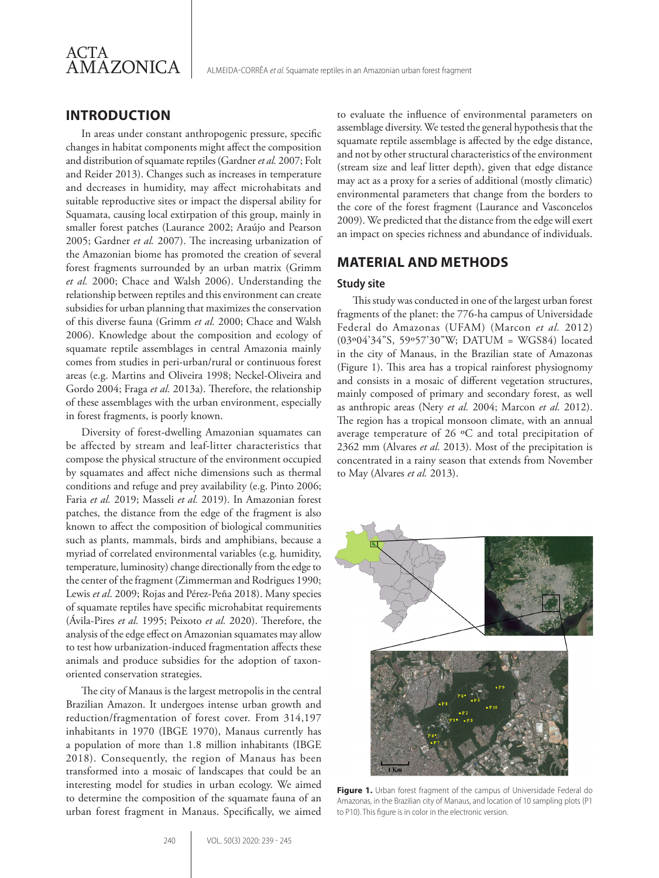

ALMEIDA-CORRÊA *et al.* Squamate reptiles in an Amazonian urban forest fragment

# **INTRODUCTION**

In areas under constant anthropogenic pressure, specific changes in habitat components might affect the composition and distribution of squamate reptiles (Gardner *et al.* 2007; Folt and Reider 2013). Changes such as increases in temperature and decreases in humidity, may affect microhabitats and suitable reproductive sites or impact the dispersal ability for Squamata, causing local extirpation of this group, mainly in smaller forest patches (Laurance 2002; Araújo and Pearson 2005; Gardner *et al.* 2007). The increasing urbanization of the Amazonian biome has promoted the creation of several forest fragments surrounded by an urban matrix (Grimm *et al.* 2000; Chace and Walsh 2006). Understanding the relationship between reptiles and this environment can create subsidies for urban planning that maximizes the conservation of this diverse fauna (Grimm *et al.* 2000; Chace and Walsh 2006). Knowledge about the composition and ecology of squamate reptile assemblages in central Amazonia mainly comes from studies in peri-urban/rural or continuous forest areas (e.g. Martins and Oliveira 1998; Neckel-Oliveira and Gordo 2004; Fraga *et al.* 2013a). Therefore, the relationship of these assemblages with the urban environment, especially in forest fragments, is poorly known.

Diversity of forest-dwelling Amazonian squamates can be affected by stream and leaf-litter characteristics that compose the physical structure of the environment occupied by squamates and affect niche dimensions such as thermal conditions and refuge and prey availability (e.g. Pinto 2006; Faria *et al.* 2019; Masseli *et al.* 2019). In Amazonian forest patches, the distance from the edge of the fragment is also known to affect the composition of biological communities such as plants, mammals, birds and amphibians, because a myriad of correlated environmental variables (e.g. humidity, temperature, luminosity) change directionally from the edge to the center of the fragment (Zimmerman and Rodrigues 1990; Lewis *et al*. 2009; Rojas and Pérez-Peña 2018). Many species of squamate reptiles have specific microhabitat requirements (Ávila-Pires *et al.* 1995; Peixoto *et al.* 2020). Therefore, the analysis of the edge effect on Amazonian squamates may allow to test how urbanization-induced fragmentation affects these animals and produce subsidies for the adoption of taxonoriented conservation strategies.

The city of Manaus is the largest metropolis in the central Brazilian Amazon. It undergoes intense urban growth and reduction/fragmentation of forest cover. From 314,197 inhabitants in 1970 (IBGE 1970), Manaus currently has a population of more than 1.8 million inhabitants (IBGE 2018). Consequently, the region of Manaus has been transformed into a mosaic of landscapes that could be an interesting model for studies in urban ecology. We aimed to determine the composition of the squamate fauna of an urban forest fragment in Manaus. Specifically, we aimed

to evaluate the influence of environmental parameters on assemblage diversity. We tested the general hypothesis that the squamate reptile assemblage is affected by the edge distance, and not by other structural characteristics of the environment (stream size and leaf litter depth), given that edge distance may act as a proxy for a series of additional (mostly climatic) environmental parameters that change from the borders to the core of the forest fragment (Laurance and Vasconcelos 2009). We predicted that the distance from the edge will exert an impact on species richness and abundance of individuals.

# **MATERIAL AND METHODS**

#### **Study site**

This study was conducted in one of the largest urban forest fragments of the planet: the 776-ha campus of Universidade Federal do Amazonas (UFAM) (Marcon *et al.* 2012) (03º04'34"S, 59º57'30"W; DATUM = WGS84) located in the city of Manaus, in the Brazilian state of Amazonas (Figure 1). This area has a tropical rainforest physiognomy and consists in a mosaic of different vegetation structures, mainly composed of primary and secondary forest, as well as anthropic areas (Nery *et al.* 2004; Marcon *et al.* 2012). The region has a tropical monsoon climate, with an annual average temperature of 26 ºC and total precipitation of 2362 mm (Alvares *et al.* 2013). Most of the precipitation is concentrated in a rainy season that extends from November to May (Alvares *et al.* 2013).



**Figure 1.** Urban forest fragment of the campus of Universidade Federal do Amazonas, in the Brazilian city of Manaus, and location of 10 sampling plots (P1 to P10). This figure is in color in the electronic version.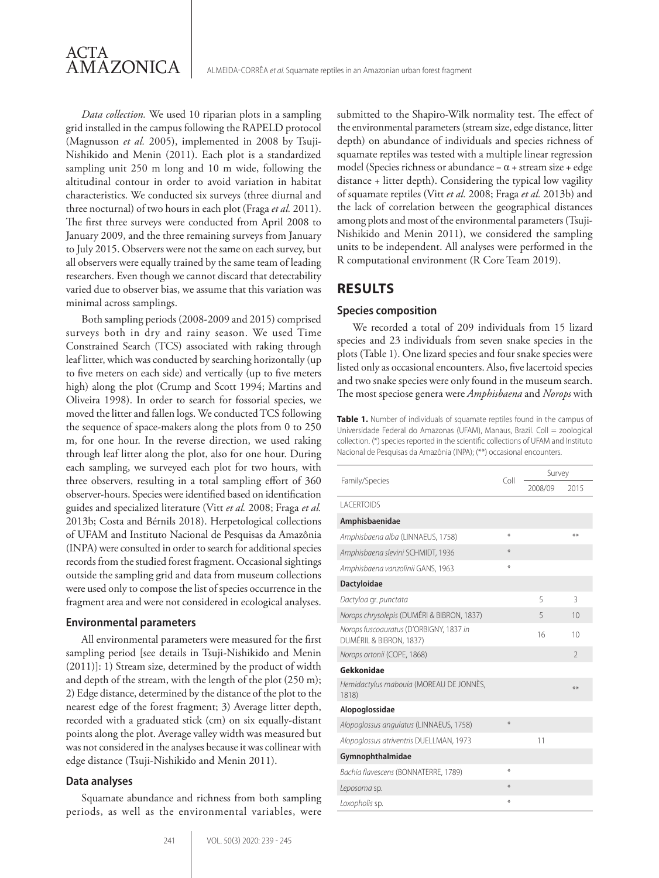*Data collection.* We used 10 riparian plots in a sampling grid installed in the campus following the RAPELD protocol (Magnusson *et al.* 2005), implemented in 2008 by Tsuji-Nishikido and Menin (2011). Each plot is a standardized sampling unit 250 m long and 10 m wide, following the altitudinal contour in order to avoid variation in habitat characteristics. We conducted six surveys (three diurnal and three nocturnal) of two hours in each plot (Fraga *et al.* 2011). The first three surveys were conducted from April 2008 to January 2009, and the three remaining surveys from January to July 2015. Observers were not the same on each survey, but all observers were equally trained by the same team of leading researchers. Even though we cannot discard that detectability varied due to observer bias, we assume that this variation was minimal across samplings.

Both sampling periods (2008-2009 and 2015) comprised surveys both in dry and rainy season. We used Time Constrained Search (TCS) associated with raking through leaf litter, which was conducted by searching horizontally (up to five meters on each side) and vertically (up to five meters high) along the plot (Crump and Scott 1994; Martins and Oliveira 1998). In order to search for fossorial species, we moved the litter and fallen logs. We conducted TCS following the sequence of space-makers along the plots from 0 to 250 m, for one hour. In the reverse direction, we used raking through leaf litter along the plot, also for one hour. During each sampling, we surveyed each plot for two hours, with three observers, resulting in a total sampling effort of 360 observer-hours. Species were identified based on identification guides and specialized literature (Vitt *et al.* 2008; Fraga *et al.* 2013b; Costa and Bérnils 2018). Herpetological collections of UFAM and Instituto Nacional de Pesquisas da Amazônia (INPA) were consulted in order to search for additional species records from the studied forest fragment. Occasional sightings outside the sampling grid and data from museum collections were used only to compose the list of species occurrence in the fragment area and were not considered in ecological analyses.

#### **Environmental parameters**

All environmental parameters were measured for the first sampling period [see details in Tsuji-Nishikido and Menin (2011)]: 1) Stream size, determined by the product of width and depth of the stream, with the length of the plot (250 m); 2) Edge distance, determined by the distance of the plot to the nearest edge of the forest fragment; 3) Average litter depth, recorded with a graduated stick (cm) on six equally-distant points along the plot. Average valley width was measured but was not considered in the analyses because it was collinear with edge distance (Tsuji-Nishikido and Menin 2011).

#### **Data analyses**

Squamate abundance and richness from both sampling periods, as well as the environmental variables, were submitted to the Shapiro-Wilk normality test. The effect of the environmental parameters (stream size, edge distance, litter depth) on abundance of individuals and species richness of squamate reptiles was tested with a multiple linear regression model (Species richness or abundance =  $\alpha$  + stream size + edge distance + litter depth). Considering the typical low vagility of squamate reptiles (Vitt *et al.* 2008; Fraga *et al.* 2013b) and the lack of correlation between the geographical distances among plots and most of the environmental parameters (Tsuji-Nishikido and Menin 2011), we considered the sampling units to be independent. All analyses were performed in the R computational environment (R Core Team 2019).

# **RESULTS**

#### **Species composition**

We recorded a total of 209 individuals from 15 lizard species and 23 individuals from seven snake species in the plots (Table 1). One lizard species and four snake species were listed only as occasional encounters. Also, five lacertoid species and two snake species were only found in the museum search. The most speciose genera were *Amphisbaena* and *Norops* with

**Table 1.** Number of individuals of squamate reptiles found in the campus of Universidade Federal do Amazonas (UFAM), Manaus, Brazil. Coll = zoological collection. (\*) species reported in the scientific collections of UFAM and Instituto Nacional de Pesquisas da Amazônia (INPA); (\*\*) occasional encounters.

|                                                                    | Coll | Survey  |                          |
|--------------------------------------------------------------------|------|---------|--------------------------|
| Family/Species                                                     |      | 2008/09 | 2015                     |
| <b>LACERTOIDS</b>                                                  |      |         |                          |
| Amphisbaenidae                                                     |      |         |                          |
| Amphisbaena alba (LINNAEUS, 1758)                                  | ¥    |         | $**$                     |
| Amphisbaena slevini SCHMIDT, 1936                                  | $*$  |         |                          |
| Amphisbaena vanzolinii GANS, 1963                                  | ⋇    |         |                          |
| Dactyloidae                                                        |      |         |                          |
| Dactyloa gr. punctata                                              |      | 5       | 3                        |
| Norops chrysolepis (DUMÉRI & BIBRON, 1837)                         |      | 5       | 10                       |
| Norops fuscoauratus (D'ORBIGNY, 1837 in<br>DUMÉRIL & BIBRON, 1837) |      | 16      | 10                       |
| Norops ortonii (COPE, 1868)                                        |      |         | $\overline{\phantom{a}}$ |
| Gekkonidae                                                         |      |         |                          |
| Hemidactylus mabouia (MOREAU DE JONNÈS,<br>1818)                   |      |         | **                       |
| Alopoglossidae                                                     |      |         |                          |
| Alopoglossus angulatus (LINNAEUS, 1758)                            | $*$  |         |                          |
| Alopoglossus atriventris DUELLMAN, 1973                            |      | 11      |                          |
| Gymnophthalmidae                                                   |      |         |                          |
| Bachia flavescens (BONNATERRE, 1789)                               | ⋇    |         |                          |
| Leposoma sp.                                                       | $*$  |         |                          |
| Loxopholis sp.                                                     | ⋇    |         |                          |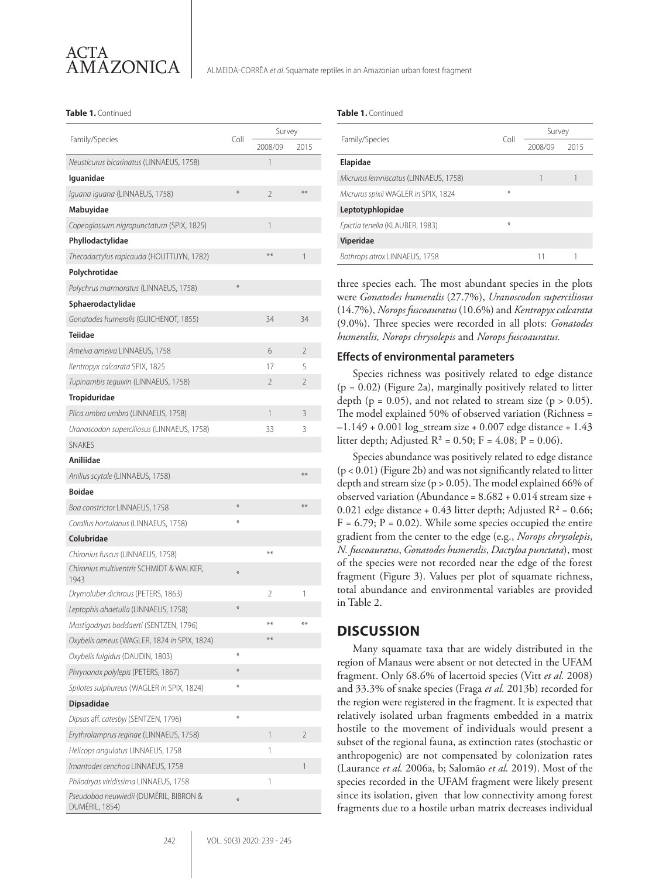#### **Table 1.** Continued **Table 1.** Continued

|                                                          |         | Survey         |                |
|----------------------------------------------------------|---------|----------------|----------------|
| Family/Species                                           | Coll    | 2008/09        | 2015           |
| Neusticurus bicarinatus (LINNAEUS, 1758)                 |         | 1              |                |
| Iguanidae                                                |         |                |                |
| <i>Iquana iquana</i> (LINNAEUS, 1758)                    | $\ast$  | $\overline{2}$ | $***$          |
| Mabuyidae                                                |         |                |                |
| Copeoglossum nigropunctatum (SPIX, 1825)                 |         | 1              |                |
| Phyllodactylidae                                         |         |                |                |
| Thecadactylus rapicauda (HOUTTUYN, 1782)                 |         | **             | 1              |
| Polychrotidae                                            |         |                |                |
| Polychrus marmoratus (LINNAEUS, 1758)                    | $*$     |                |                |
| Sphaerodactylidae                                        |         |                |                |
| Gonatodes humeralis (GUICHENOT, 1855)                    |         | 34             | 34             |
| Teiidae                                                  |         |                |                |
| Ameiva ameiva LINNAEUS, 1758                             |         | 6              | $\overline{2}$ |
| Kentropyx calcarata SPIX, 1825                           |         | 17             | 5              |
| Tupinambis teguixin (LINNAEUS, 1758)                     |         | 2              | $\overline{2}$ |
| Tropiduridae                                             |         |                |                |
| Plica umbra umbra (LINNAEUS, 1758)                       |         | 1              | 3              |
| Uranoscodon superciliosus (LINNAEUS, 1758)               |         | 33             | 3              |
| <b>SNAKES</b>                                            |         |                |                |
| Aniliidae                                                |         |                |                |
| Anilius scytale (LINNAEUS, 1758)                         |         |                | $**$           |
| <b>Boidae</b>                                            |         |                |                |
| Boa constrictor LINNAEUS, 1758                           | $\ast$  |                | $***$          |
| Corallus hortulanus (LINNAEUS, 1758)                     | $\ast$  |                |                |
| Colubridae                                               |         |                |                |
| Chironius fuscus (LINNAEUS, 1758)                        |         | **             |                |
| Chironius multiventris SCHMIDT & WALKER,<br>1943         | $\ast$  |                |                |
| Drymoluber dichrous (PETERS, 1863)                       |         | 2              | 1              |
| Leptophis ahaetulla (LINNAEUS, 1758)                     | $\ast$  |                |                |
| Mastigodryas boddaerti (SENTZEN, 1796)                   |         | **             | $**$           |
| Oxybelis aeneus (WAGLER, 1824 in SPIX, 1824)             |         | $**$           |                |
| Oxybelis fulgidus (DAUDIN, 1803)                         | $*$     |                |                |
| Phrynonax polylepis (PETERS, 1867)                       | $\star$ |                |                |
| Spilotes sulphureus (WAGLER in SPIX, 1824)               | $*$     |                |                |
| <b>Dipsadidae</b>                                        |         |                |                |
| Dipsas aff. catesbyi (SENTZEN, 1796)                     | $\ast$  |                |                |
| Erythrolamprus reginae (LINNAEUS, 1758)                  |         | 1              | 2              |
| Helicops angulatus LINNAEUS, 1758                        |         | 1              |                |
| Imantodes cenchoa LINNAEUS, 1758                         |         |                | 1              |
| Philodryas viridissima LINNAEUS, 1758                    |         | 1              |                |
| Pseudoboa neuwiedii (DUMÉRIL, BIBRON &<br>DUMÉRIL, 1854) | $\ast$  |                |                |

|                                       | Coll | Survey  |      |
|---------------------------------------|------|---------|------|
| Family/Species                        |      | 2008/09 | 2015 |
| Elapidae                              |      |         |      |
| Micrurus lemniscatus (LINNAEUS, 1758) |      |         |      |
| Micrurus spixii WAGLER in SPIX, 1824  | $*$  |         |      |
| Leptotyphlopidae                      |      |         |      |
| Epictia tenella (KLAUBER, 1983)       | $*$  |         |      |
| Viperidae                             |      |         |      |
| Bothrops atrox LINNAEUS, 1758         |      | 11      |      |

three species each. The most abundant species in the plots were *Gonatodes humeralis* (27.7%), *Uranoscodon superciliosus*  (14.7%), *Norops fuscoauratus* (10.6%) and *Kentropyx calcarata*  (9.0%). Three species were recorded in all plots: *Gonatodes humeralis, Norops chrysolepis* and *Norops fuscoauratus.*

#### **Effects of environmental parameters**

Species richness was positively related to edge distance  $(p = 0.02)$  (Figure 2a), marginally positively related to litter depth ( $p = 0.05$ ), and not related to stream size ( $p > 0.05$ ). The model explained 50% of observed variation (Richness =  $-1.149 + 0.001 \log_{10}$  stream size + 0.007 edge distance + 1.43 litter depth; Adjusted  $R^2 = 0.50$ ; F = 4.08; P = 0.06).

Species abundance was positively related to edge distance (p < 0.01) (Figure 2b) and was not significantly related to litter depth and stream size ( $p > 0.05$ ). The model explained 66% of observed variation (Abundance = 8.682 + 0.014 stream size + 0.021 edge distance + 0.43 litter depth; Adjusted  $R^2$  = 0.66;  $F = 6.79$ ;  $P = 0.02$ ). While some species occupied the entire gradient from the center to the edge (e.g., *Norops chrysolepis*, *N. fuscoauratus*, *Gonatodes humeralis*, *Dactyloa punctata*), most of the species were not recorded near the edge of the forest fragment (Figure 3). Values per plot of squamate richness, total abundance and environmental variables are provided in Table 2.

### **DISCUSSION**

Many squamate taxa that are widely distributed in the region of Manaus were absent or not detected in the UFAM fragment. Only 68.6% of lacertoid species (Vitt *et al.* 2008) and 33.3% of snake species (Fraga *et al.* 2013b) recorded for the region were registered in the fragment. It is expected that relatively isolated urban fragments embedded in a matrix hostile to the movement of individuals would present a subset of the regional fauna, as extinction rates (stochastic or anthropogenic) are not compensated by colonization rates (Laurance *et al.* 2006a, b; Salomão *et al.* 2019). Most of the species recorded in the UFAM fragment were likely present since its isolation, given that low connectivity among forest fragments due to a hostile urban matrix decreases individual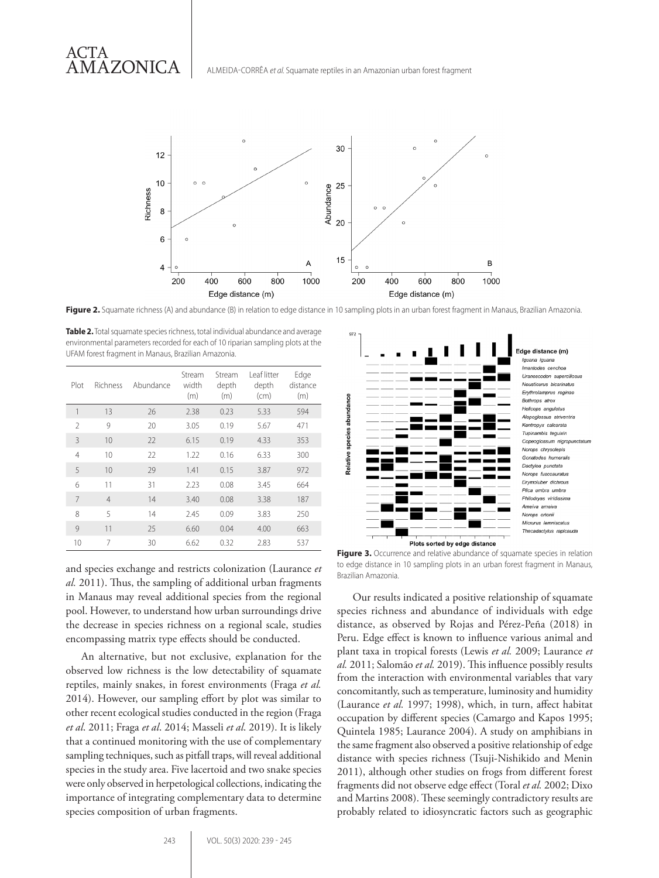# ACTA AMAZONICA

ALMEIDA-CORRÊA *et al.* Squamate reptiles in an Amazonian urban forest fragment



Figure 2. Squamate richness (A) and abundance (B) in relation to edge distance in 10 sampling plots in an urban forest fragment in Manaus, Brazilian Amazonia.

**Table 2.** Total squamate species richness, total individual abundance and average environmental parameters recorded for each of 10 riparian sampling plots at the UFAM forest fragment in Manaus, Brazilian Amazonia.

| Plot           | Richness       | Abundance | Stream<br>width<br>(m) | Stream<br>depth<br>(m) | Leaf litter<br>depth<br>(cm) | Edge<br>distance<br>(m) |
|----------------|----------------|-----------|------------------------|------------------------|------------------------------|-------------------------|
| 1              | 13             | 26        | 2.38                   | 0.23                   | 5.33                         | 594                     |
| $\mathcal{P}$  | 9              | 20        | 3.05                   | 0.19                   | 5.67                         | 471                     |
| 3              | 10             | 22        | 6.15                   | 0.19                   | 4.33                         | 353                     |
| $\overline{4}$ | 10             | 22        | 1.22                   | 0.16                   | 6.33                         | 300                     |
| 5              | 10             | 29        | 1.41                   | 0.15                   | 3.87                         | 972                     |
| 6              | 11             | 31        | 2.23                   | 0.08                   | 3.45                         | 664                     |
| 7              | $\overline{4}$ | 14        | 3.40                   | 0.08                   | 3.38                         | 187                     |
| 8              | 5              | 14        | 2.45                   | 0.09                   | 3.83                         | 250                     |
| 9              | 11             | 25        | 6.60                   | 0.04                   | 4.00                         | 663                     |
| 10             | 7              | 30        | 6.62                   | 0.32                   | 2.83                         | 537                     |

and species exchange and restricts colonization (Laurance *et al.* 2011). Thus, the sampling of additional urban fragments in Manaus may reveal additional species from the regional pool. However, to understand how urban surroundings drive the decrease in species richness on a regional scale, studies encompassing matrix type effects should be conducted.

An alternative, but not exclusive, explanation for the observed low richness is the low detectability of squamate reptiles, mainly snakes, in forest environments (Fraga *et al.* 2014). However, our sampling effort by plot was similar to other recent ecological studies conducted in the region (Fraga *et al*. 2011; Fraga *et al*. 2014; Masseli *et al*. 2019). It is likely that a continued monitoring with the use of complementary sampling techniques, such as pitfall traps, will reveal additional species in the study area. Five lacertoid and two snake species were only observed in herpetological collections, indicating the importance of integrating complementary data to determine species composition of urban fragments.



**Figure 3.** Occurrence and relative abundance of squamate species in relation to edge distance in 10 sampling plots in an urban forest fragment in Manaus, Brazilian Amazonia.

Our results indicated a positive relationship of squamate species richness and abundance of individuals with edge distance, as observed by Rojas and Pérez-Peña (2018) in Peru. Edge effect is known to influence various animal and plant taxa in tropical forests (Lewis *et al.* 2009; Laurance *et al.* 2011; Salomão *et al.* 2019). This influence possibly results from the interaction with environmental variables that vary concomitantly, such as temperature, luminosity and humidity (Laurance *et al.* 1997; 1998), which, in turn, affect habitat occupation by different species (Camargo and Kapos 1995; Quintela 1985; Laurance 2004). A study on amphibians in the same fragment also observed a positive relationship of edge distance with species richness (Tsuji-Nishikido and Menin 2011), although other studies on frogs from different forest fragments did not observe edge effect (Toral *et al.* 2002; Dixo and Martins 2008). These seemingly contradictory results are probably related to idiosyncratic factors such as geographic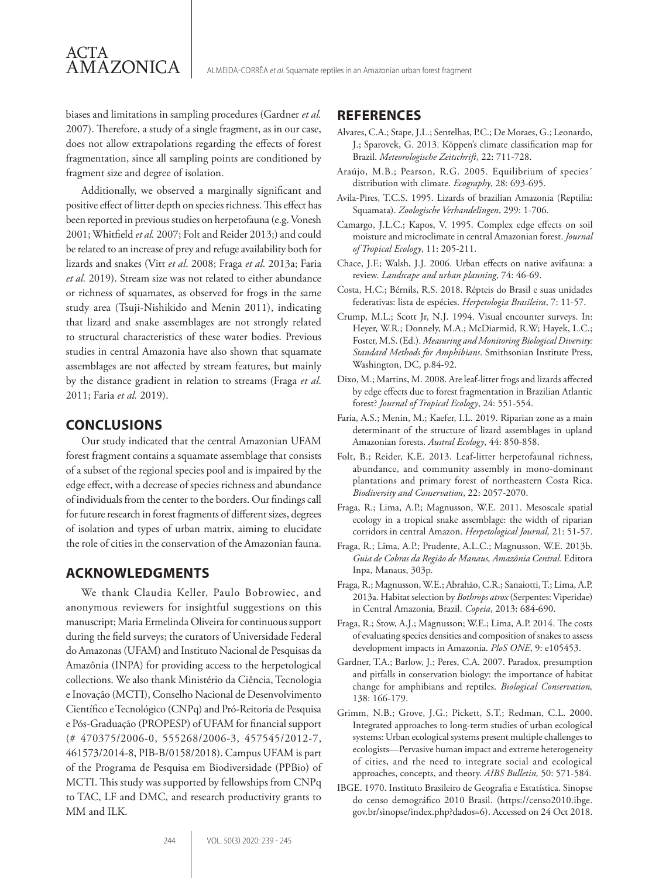biases and limitations in sampling procedures (Gardner *et al.* 2007). Therefore, a study of a single fragment, as in our case, does not allow extrapolations regarding the effects of forest fragmentation, since all sampling points are conditioned by fragment size and degree of isolation.

Additionally, we observed a marginally significant and positive effect of litter depth on species richness. This effect has been reported in previous studies on herpetofauna (e.g. Vonesh 2001; Whitfield *et al.* 2007; Folt and Reider 2013;) and could be related to an increase of prey and refuge availability both for lizards and snakes (Vitt *et al*. 2008; Fraga *et al*. 2013a; Faria *et al.* 2019). Stream size was not related to either abundance or richness of squamates, as observed for frogs in the same study area (Tsuji-Nishikido and Menin 2011), indicating that lizard and snake assemblages are not strongly related to structural characteristics of these water bodies. Previous studies in central Amazonia have also shown that squamate assemblages are not affected by stream features, but mainly by the distance gradient in relation to streams (Fraga *et al*. 2011; Faria *et al.* 2019).

## **CONCLUSIONS**

ACTA

AMAZONICA

Our study indicated that the central Amazonian UFAM forest fragment contains a squamate assemblage that consists of a subset of the regional species pool and is impaired by the edge effect, with a decrease of species richness and abundance of individuals from the center to the borders. Our findings call for future research in forest fragments of different sizes, degrees of isolation and types of urban matrix, aiming to elucidate the role of cities in the conservation of the Amazonian fauna.

# **ACKNOWLEDGMENTS**

We thank Claudia Keller, Paulo Bobrowiec, and anonymous reviewers for insightful suggestions on this manuscript; Maria Ermelinda Oliveira for continuous support during the field surveys; the curators of Universidade Federal do Amazonas (UFAM) and Instituto Nacional de Pesquisas da Amazônia (INPA) for providing access to the herpetological collections. We also thank Ministério da Ciência, Tecnologia e Inovação (MCTI), Conselho Nacional de Desenvolvimento Científico e Tecnológico (CNPq) and Pró-Reitoria de Pesquisa e Pós-Graduação (PROPESP) of UFAM for financial support (# 470375/2006-0, 555268/2006-3, 457545/2012-7, 461573/2014-8, PIB-B/0158/2018). Campus UFAM is part of the Programa de Pesquisa em Biodiversidade (PPBio) of MCTI. This study was supported by fellowships from CNPq to TAC, LF and DMC, and research productivity grants to MM and ILK.

## **REFERENCES**

- Alvares, C.A.; Stape, J.L.; Sentelhas, P.C.; De Moraes, G.; Leonardo, J.; Sparovek, G. 2013. Köppen's climate classification map for Brazil. *Meteorologische Zeitschrift*, 22: 711-728.
- Araújo, M.B.; Pearson, R.G. 2005. Equilibrium of species´ distribution with climate. *Ecography*, 28: 693-695.
- Avila-Pires, T.C.S. 1995. Lizards of brazilian Amazonia (Reptilia: Squamata). *Zoologische Verhandelingen*, 299: 1-706.
- Camargo, J.L.C.; Kapos, V. 1995. Complex edge effects on soil moisture and microclimate in central Amazonian forest. *Journal of Tropical Ecology*, 11: 205-211.
- Chace, J.F.; Walsh, J.J. 2006. Urban effects on native avifauna: a review. *Landscape and urban planning*, 74: 46-69.
- Costa, H.C.; Bérnils, R.S. 2018. Répteis do Brasil e suas unidades federativas: lista de espécies. *Herpetologia Brasileira*, 7: 11-57.
- Crump, M.L.; Scott Jr, N.J. 1994. Visual encounter surveys. In: Heyer, W.R.; Donnely, M.A.; McDiarmid, R.W; Hayek, L.C.; Foster, M.S. (Ed.). *Measuring and Monitoring Biological Diversity: Standard Methods for Amphibians*. Smithsonian Institute Press, Washington, DC, p.84-92.
- Dixo, M.; Martins, M. 2008. Are leaf-litter frogs and lizards affected by edge effects due to forest fragmentation in Brazilian Atlantic forest? *Journal of Tropical Ecology*, 24: 551-554.
- Faria, A.S.; Menin, M.; Kaefer, I.L. 2019. Riparian zone as a main determinant of the structure of lizard assemblages in upland Amazonian forests. *Austral Ecology*, 44: 850-858.
- Folt, B.; Reider, K.E. 2013. Leaf-litter herpetofaunal richness, abundance, and community assembly in mono-dominant plantations and primary forest of northeastern Costa Rica. *Biodiversity and Conservation*, 22: 2057-2070.
- Fraga, R.; Lima, A.P.; Magnusson, W.E. 2011. Mesoscale spatial ecology in a tropical snake assemblage: the width of riparian corridors in central Amazon. *Herpetological Journal,* 21: 51-57.
- Fraga, R.; Lima, A.P.; Prudente, A.L.C.; Magnusson, W.E. 2013b. *Guia de Cobras da Região de Manaus, Amazônia Central*. Editora Inpa, Manaus, 303p.
- Fraga, R.; Magnusson, W.E.; Abrahão, C.R.; Sanaiotti, T.; Lima, A.P. 2013a. Habitat selection by *Bothrops atrox* (Serpentes: Viperidae) in Central Amazonia, Brazil. *Copeia*, 2013: 684-690.
- Fraga, R.; Stow, A.J.; Magnusson; W.E.; Lima, A.P. 2014. The costs of evaluating species densities and composition of snakes to assess development impacts in Amazonia. *PloS ONE*, 9: e105453.
- Gardner, T.A.; Barlow, J.; Peres, C.A. 2007. Paradox, presumption and pitfalls in conservation biology: the importance of habitat change for amphibians and reptiles. *Biological Conservation,* 138: 166-179.
- Grimm, N.B.; Grove, J.G.; Pickett, S.T.; Redman, C.L. 2000. Integrated approaches to long-term studies of urban ecological systems: Urban ecological systems present multiple challenges to ecologists—Pervasive human impact and extreme heterogeneity of cities, and the need to integrate social and ecological approaches, concepts, and theory. *AIBS Bulletin,* 50: 571-584.
- IBGE. 1970. Instituto Brasileiro de Geografia e Estatística. Sinopse do censo demográfico 2010 Brasil. (https://censo2010.ibge. gov.br/sinopse/index.php?dados=6). Accessed on 24 Oct 2018.